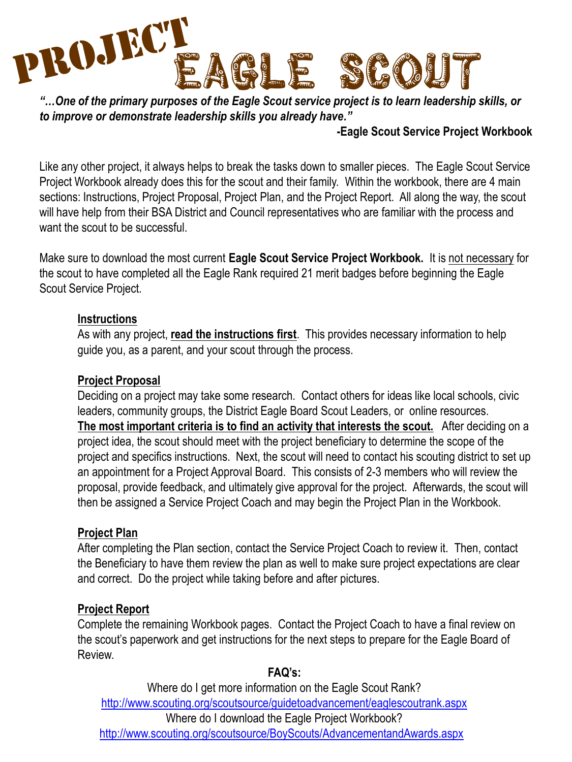

*"…One of the primary purposes of the Eagle Scout service project is to learn leadership skills, or to improve or demonstrate leadership skills you already have."* 

### **-Eagle Scout Service Project Workbook**

Like any other project, it always helps to break the tasks down to smaller pieces. The Eagle Scout Service Project Workbook already does this for the scout and their family. Within the workbook, there are 4 main sections: Instructions, Project Proposal, Project Plan, and the Project Report. All along the way, the scout will have help from their BSA District and Council representatives who are familiar with the process and want the scout to be successful.

Make sure to download the most current **Eagle Scout Service Project Workbook.** It is not necessary for the scout to have completed all the Eagle Rank required 21 merit badges before beginning the Eagle Scout Service Project.

### **Instructions**

As with any project, **read the instructions first**. This provides necessary information to help guide you, as a parent, and your scout through the process.

### **Project Proposal**

Deciding on a project may take some research. Contact others for ideas like local schools, civic leaders, community groups, the District Eagle Board Scout Leaders, or online resources. **The most important criteria is to find an activity that interests the scout.** After deciding on a project idea, the scout should meet with the project beneficiary to determine the scope of the project and specifics instructions. Next, the scout will need to contact his scouting district to set up an appointment for a Project Approval Board. This consists of 2-3 members who will review the proposal, provide feedback, and ultimately give approval for the project. Afterwards, the scout will then be assigned a Service Project Coach and may begin the Project Plan in the Workbook.

### **Project Plan**

After completing the Plan section, contact the Service Project Coach to review it. Then, contact the Beneficiary to have them review the plan as well to make sure project expectations are clear and correct. Do the project while taking before and after pictures.

### **Project Report**

Complete the remaining Workbook pages. Contact the Project Coach to have a final review on the scout's paperwork and get instructions for the next steps to prepare for the Eagle Board of Review.

### **FAQ's:**

Where do I get more information on the Eagle Scout Rank? <http://www.scouting.org/scoutsource/guidetoadvancement/eaglescoutrank.aspx> Where do I download the Eagle Project Workbook? <http://www.scouting.org/scoutsource/BoyScouts/AdvancementandAwards.aspx>